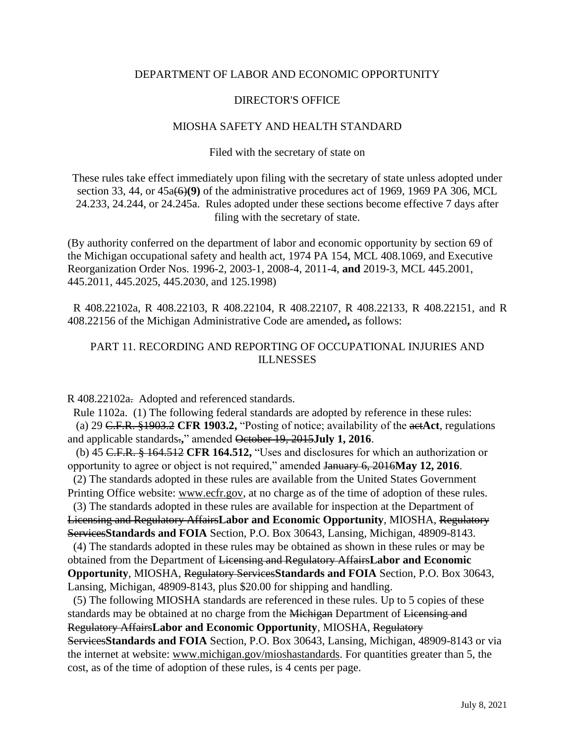## DEPARTMENT OF LABOR AND ECONOMIC OPPORTUNITY

## DIRECTOR'S OFFICE

### MIOSHA SAFETY AND HEALTH STANDARD

### Filed with the secretary of state on

These rules take effect immediately upon filing with the secretary of state unless adopted under section 33, 44, or 45a(6)**(9)** of the administrative procedures act of 1969, 1969 PA 306, MCL 24.233, 24.244, or 24.245a. Rules adopted under these sections become effective 7 days after filing with the secretary of state.

(By authority conferred on the department of labor and economic opportunity by section 69 of the Michigan occupational safety and health act, 1974 PA 154, MCL 408.1069, and Executive Reorganization Order Nos. 1996-2, 2003-1, 2008-4, 2011-4, **and** 2019-3, MCL 445.2001, 445.2011, 445.2025, 445.2030, and 125.1998)

 R 408.22102a, R 408.22103, R 408.22104, R 408.22107, R 408.22133, R 408.22151, and R 408.22156 of the Michigan Administrative Code are amended**,** as follows:

# PART 11. RECORDING AND REPORTING OF OCCUPATIONAL INJURIES AND **ILLNESSES**

R 408.22102a. Adopted and referenced standards.

 Rule 1102a. (1) The following federal standards are adopted by reference in these rules: (a) 29 C.F.R. §1903.2 **CFR 1903.2,** "Posting of notice; availability of the act**Act**, regulations and applicable standards.**,**" amended October 19, 2015**July 1, 2016**.

 (b) 45 C.F.R. § 164.512 **CFR 164.512,** "Uses and disclosures for which an authorization or opportunity to agree or object is not required," amended January 6, 2016**May 12, 2016**.

 (2) The standards adopted in these rules are available from the United States Government Printing Office website: www.ecfr.gov, at no charge as of the time of adoption of these rules.

 (3) The standards adopted in these rules are available for inspection at the Department of Licensing and Regulatory Affairs**Labor and Economic Opportunity**, MIOSHA, Regulatory Services**Standards and FOIA** Section, P.O. Box 30643, Lansing, Michigan, 48909-8143.

 (4) The standards adopted in these rules may be obtained as shown in these rules or may be obtained from the Department of Licensing and Regulatory Affairs**Labor and Economic Opportunity**, MIOSHA, Regulatory Services**Standards and FOIA** Section, P.O. Box 30643, Lansing, Michigan, 48909-8143, plus \$20.00 for shipping and handling.

 (5) The following MIOSHA standards are referenced in these rules. Up to 5 copies of these standards may be obtained at no charge from the Michigan Department of Licensing and Regulatory Affairs**Labor and Economic Opportunity**, MIOSHA, Regulatory Services**Standards and FOIA** Section, P.O. Box 30643, Lansing, Michigan, 48909-8143 or via the internet at website: www.michigan.gov/mioshastandards. For quantities greater than 5, the cost, as of the time of adoption of these rules, is 4 cents per page.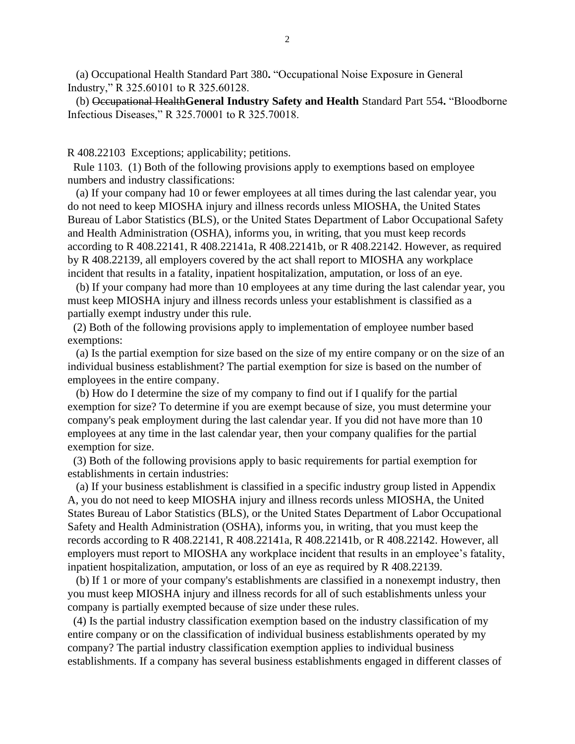(a) Occupational Health Standard Part 380**.** "Occupational Noise Exposure in General Industry," R 325.60101 to R 325.60128.

 (b) Occupational Health**General Industry Safety and Health** Standard Part 554**.** "Bloodborne Infectious Diseases," R 325.70001 to R 325.70018.

R 408.22103 Exceptions; applicability; petitions.

 Rule 1103. (1) Both of the following provisions apply to exemptions based on employee numbers and industry classifications:

 (a) If your company had 10 or fewer employees at all times during the last calendar year, you do not need to keep MIOSHA injury and illness records unless MIOSHA, the United States Bureau of Labor Statistics (BLS), or the United States Department of Labor Occupational Safety and Health Administration (OSHA), informs you, in writing, that you must keep records according to R 408.22141, R 408.22141a, R 408.22141b, or R 408.22142. However, as required by R 408.22139, all employers covered by the act shall report to MIOSHA any workplace incident that results in a fatality, inpatient hospitalization, amputation, or loss of an eye.

 (b) If your company had more than 10 employees at any time during the last calendar year, you must keep MIOSHA injury and illness records unless your establishment is classified as a partially exempt industry under this rule.

 (2) Both of the following provisions apply to implementation of employee number based exemptions:

 (a) Is the partial exemption for size based on the size of my entire company or on the size of an individual business establishment? The partial exemption for size is based on the number of employees in the entire company.

 (b) How do I determine the size of my company to find out if I qualify for the partial exemption for size? To determine if you are exempt because of size, you must determine your company's peak employment during the last calendar year. If you did not have more than 10 employees at any time in the last calendar year, then your company qualifies for the partial exemption for size.

 (3) Both of the following provisions apply to basic requirements for partial exemption for establishments in certain industries:

 (a) If your business establishment is classified in a specific industry group listed in Appendix A, you do not need to keep MIOSHA injury and illness records unless MIOSHA, the United States Bureau of Labor Statistics (BLS), or the United States Department of Labor Occupational Safety and Health Administration (OSHA), informs you, in writing, that you must keep the records according to R 408.22141, R 408.22141a, R 408.22141b, or R 408.22142. However, all employers must report to MIOSHA any workplace incident that results in an employee's fatality, inpatient hospitalization, amputation, or loss of an eye as required by R 408.22139.

 (b) If 1 or more of your company's establishments are classified in a nonexempt industry, then you must keep MIOSHA injury and illness records for all of such establishments unless your company is partially exempted because of size under these rules.

 (4) Is the partial industry classification exemption based on the industry classification of my entire company or on the classification of individual business establishments operated by my company? The partial industry classification exemption applies to individual business establishments. If a company has several business establishments engaged in different classes of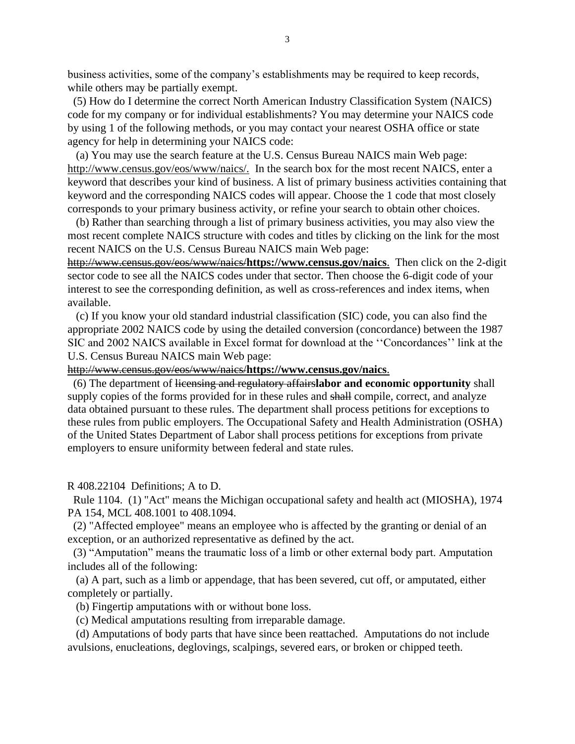business activities, some of the company's establishments may be required to keep records, while others may be partially exempt.

 (5) How do I determine the correct North American Industry Classification System (NAICS) code for my company or for individual establishments? You may determine your NAICS code by using 1 of the following methods, or you may contact your nearest OSHA office or state agency for help in determining your NAICS code:

 (a) You may use the search feature at the U.S. Census Bureau NAICS main Web page: http://www.census.gov/eos/www/naics/. In the search box for the most recent NAICS, enter a keyword that describes your kind of business. A list of primary business activities containing that keyword and the corresponding NAICS codes will appear. Choose the 1 code that most closely corresponds to your primary business activity, or refine your search to obtain other choices.

 (b) Rather than searching through a list of primary business activities, you may also view the most recent complete NAICS structure with codes and titles by clicking on the link for the most recent NAICS on the U.S. Census Bureau NAICS main Web page:

http://www.census.gov/eos/www/naics/**https://www.census.gov/naics**. Then click on the 2-digit sector code to see all the NAICS codes under that sector. Then choose the 6-digit code of your interest to see the corresponding definition, as well as cross-references and index items, when available.

 (c) If you know your old standard industrial classification (SIC) code, you can also find the appropriate 2002 NAICS code by using the detailed conversion (concordance) between the 1987 SIC and 2002 NAICS available in Excel format for download at the ''Concordances'' link at the U.S. Census Bureau NAICS main Web page:

http://www.census.gov/eos/www/naics/**https://www.census.gov/naics**.

 (6) The department of licensing and regulatory affairs**labor and economic opportunity** shall supply copies of the forms provided for in these rules and shall compile, correct, and analyze data obtained pursuant to these rules. The department shall process petitions for exceptions to these rules from public employers. The Occupational Safety and Health Administration (OSHA) of the United States Department of Labor shall process petitions for exceptions from private employers to ensure uniformity between federal and state rules.

R 408.22104 Definitions; A to D.

 Rule 1104. (1) "Act" means the Michigan occupational safety and health act (MIOSHA), 1974 PA 154, MCL 408.1001 to 408.1094.

 (2) "Affected employee" means an employee who is affected by the granting or denial of an exception, or an authorized representative as defined by the act.

 (3) "Amputation" means the traumatic loss of a limb or other external body part. Amputation includes all of the following:

 (a) A part, such as a limb or appendage, that has been severed, cut off, or amputated, either completely or partially.

(b) Fingertip amputations with or without bone loss.

(c) Medical amputations resulting from irreparable damage.

 (d) Amputations of body parts that have since been reattached. Amputations do not include avulsions, enucleations, deglovings, scalpings, severed ears, or broken or chipped teeth.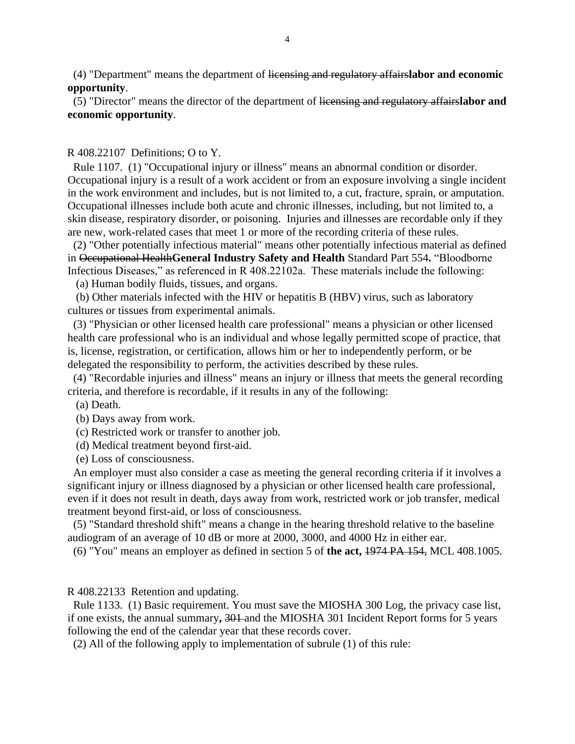(4) "Department" means the department of licensing and regulatory affairs**labor and economic opportunity**.

 (5) "Director" means the director of the department of licensing and regulatory affairs**labor and economic opportunity**.

#### R 408.22107 Definitions; O to Y.

 Rule 1107. (1) "Occupational injury or illness" means an abnormal condition or disorder. Occupational injury is a result of a work accident or from an exposure involving a single incident in the work environment and includes, but is not limited to, a cut, fracture, sprain, or amputation. Occupational illnesses include both acute and chronic illnesses, including, but not limited to, a skin disease, respiratory disorder, or poisoning. Injuries and illnesses are recordable only if they are new, work-related cases that meet 1 or more of the recording criteria of these rules.

 (2) "Other potentially infectious material" means other potentially infectious material as defined in Occupational Health**General Industry Safety and Health** Standard Part 554**.** "Bloodborne Infectious Diseases," as referenced in R 408.22102a. These materials include the following:

(a) Human bodily fluids, tissues, and organs.

 (b) Other materials infected with the HIV or hepatitis B (HBV) virus, such as laboratory cultures or tissues from experimental animals.

 (3) "Physician or other licensed health care professional" means a physician or other licensed health care professional who is an individual and whose legally permitted scope of practice, that is, license, registration, or certification, allows him or her to independently perform, or be delegated the responsibility to perform, the activities described by these rules.

 (4) "Recordable injuries and illness" means an injury or illness that meets the general recording criteria, and therefore is recordable, if it results in any of the following:

(a) Death.

(b) Days away from work.

(c) Restricted work or transfer to another job.

(d) Medical treatment beyond first-aid.

(e) Loss of consciousness.

 An employer must also consider a case as meeting the general recording criteria if it involves a significant injury or illness diagnosed by a physician or other licensed health care professional, even if it does not result in death, days away from work, restricted work or job transfer, medical treatment beyond first-aid, or loss of consciousness.

 (5) "Standard threshold shift" means a change in the hearing threshold relative to the baseline audiogram of an average of 10 dB or more at 2000, 3000, and 4000 Hz in either ear.

(6) "You" means an employer as defined in section 5 of **the act,** 1974 PA 154, MCL 408.1005.

R 408.22133 Retention and updating.

 Rule 1133. (1) Basic requirement. You must save the MIOSHA 300 Log, the privacy case list, if one exists, the annual summary**,** 301 and the MIOSHA 301 Incident Report forms for 5 years following the end of the calendar year that these records cover.

(2) All of the following apply to implementation of subrule (1) of this rule: